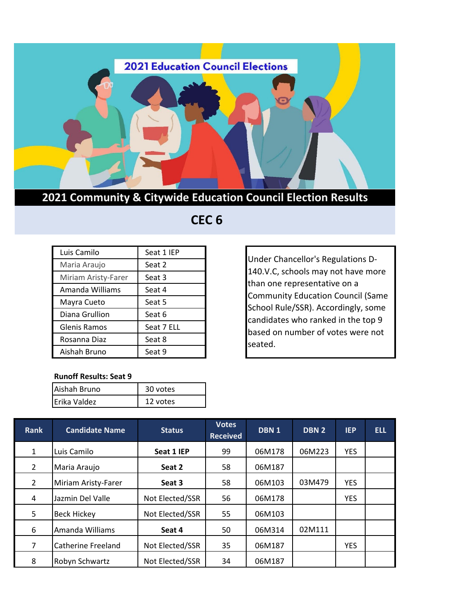

## **2021 Community & Citywide Education Council Election Results**

## **CEC 6**

| Luis Camilo         | Seat 1 IEP |
|---------------------|------------|
| Maria Araujo        | Seat 2     |
| Miriam Aristy-Farer | Seat 3     |
| Amanda Williams     | Seat 4     |
| Mayra Cueto         | Seat 5     |
| Diana Grullion      | Seat 6     |
| Glenis Ramos        | Seat 7 ELL |
| Rosanna Diaz        | Seat 8     |
| Aishah Bruno        | Seat 9     |

**Runoff Results: Seat 9**

| Aishah Bruno | 30 votes |
|--------------|----------|
| Erika Valdez | 12 votes |
|              |          |

Under Chancellor's Regulations D-140.V.C, schools may not have more than one representative on a Community Education Council (Same School Rule/SSR). Accordingly, some candidates who ranked in the top 9 based on number of votes were not seated.

| <b>Rank</b>    | <b>Candidate Name</b>     | <b>Status</b>   | <b>Votes</b><br><b>Received</b> | DBN <sub>1</sub> | <b>DBN2</b> | <b>IEP</b> | <b>ELL</b> |
|----------------|---------------------------|-----------------|---------------------------------|------------------|-------------|------------|------------|
| 1              | Luis Camilo               | Seat 1 IEP      | 99                              | 06M178           | 06M223      | <b>YES</b> |            |
| $\overline{2}$ | Maria Araujo              | Seat 2          | 58                              | 06M187           |             |            |            |
| $\overline{2}$ | Miriam Aristy-Farer       | Seat 3          | 58                              | 06M103           | 03M479      | <b>YES</b> |            |
| 4              | Jazmin Del Valle          | Not Elected/SSR | 56                              | 06M178           |             | <b>YES</b> |            |
| 5              | <b>Beck Hickey</b>        | Not Elected/SSR | 55                              | 06M103           |             |            |            |
| 6              | Amanda Williams           | Seat 4          | 50                              | 06M314           | 02M111      |            |            |
| 7              | <b>Catherine Freeland</b> | Not Elected/SSR | 35                              | 06M187           |             | <b>YES</b> |            |
| 8              | Robyn Schwartz            | Not Elected/SSR | 34                              | 06M187           |             |            |            |